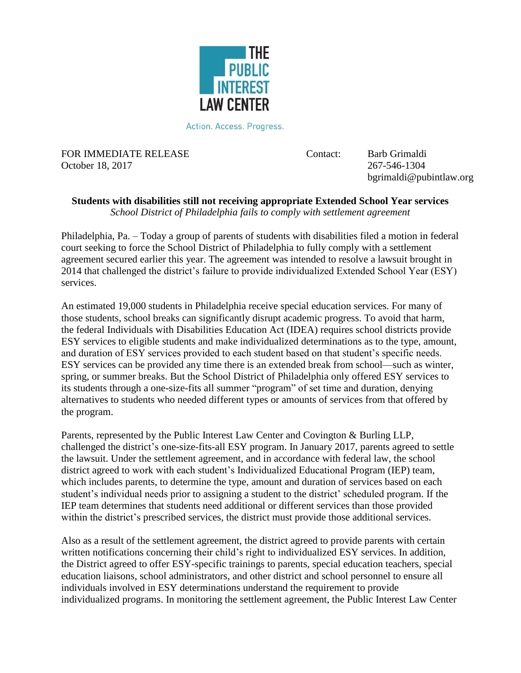

Action. Access. Progress.

FOR IMMEDIATE RELEASE Contact: Barb Grimaldi October 18, 2017 267-546-1304

bgrimaldi@pubintlaw.org

## **Students with disabilities still not receiving appropriate Extended School Year services** *School District of Philadelphia fails to comply with settlement agreement*

Philadelphia, Pa. – Today a group of parents of students with disabilities filed a motion in federal court seeking to force the School District of Philadelphia to fully comply with a settlement agreement secured earlier this year. The agreement was intended to resolve a lawsuit brought in 2014 that challenged the district's failure to provide individualized Extended School Year (ESY) services.

An estimated 19,000 students in Philadelphia receive special education services. For many of those students, school breaks can significantly disrupt academic progress. To avoid that harm, the federal Individuals with Disabilities Education Act (IDEA) requires school districts provide ESY services to eligible students and make individualized determinations as to the type, amount, and duration of ESY services provided to each student based on that student's specific needs. ESY services can be provided any time there is an extended break from school—such as winter, spring, or summer breaks. But the School District of Philadelphia only offered ESY services to its students through a one-size-fits all summer "program" of set time and duration, denying alternatives to students who needed different types or amounts of services from that offered by the program.

Parents, represented by the Public Interest Law Center and Covington & Burling LLP, challenged the district's one-size-fits-all ESY program. In January 2017, parents agreed to settle the lawsuit. Under the settlement agreement, and in accordance with federal law, the school district agreed to work with each student's Individualized Educational Program (IEP) team, which includes parents, to determine the type, amount and duration of services based on each student's individual needs prior to assigning a student to the district' scheduled program. If the IEP team determines that students need additional or different services than those provided within the district's prescribed services, the district must provide those additional services.

Also as a result of the settlement agreement, the district agreed to provide parents with certain written notifications concerning their child's right to individualized ESY services. In addition, the District agreed to offer ESY-specific trainings to parents, special education teachers, special education liaisons, school administrators, and other district and school personnel to ensure all individuals involved in ESY determinations understand the requirement to provide individualized programs. In monitoring the settlement agreement, the Public Interest Law Center